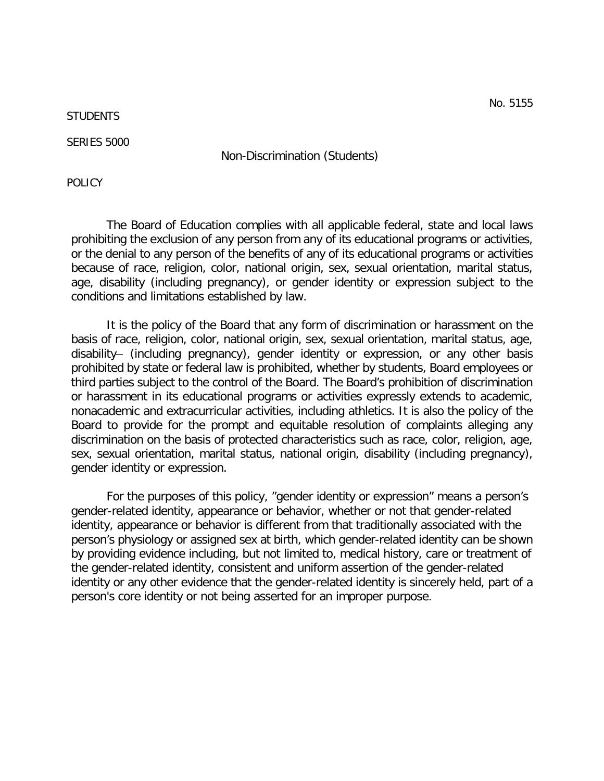**STUDENTS** 

SERIES 5000

Non-Discrimination (Students)

POLICY

The Board of Education complies with all applicable federal, state and local laws prohibiting the exclusion of any person from any of its educational programs or activities, or the denial to any person of the benefits of any of its educational programs or activities because of race, religion, color, national origin, sex, sexual orientation, marital status, age, disability (including pregnancy), or gender identity or expression subject to the conditions and limitations established by law.

It is the policy of the Board that any form of discrimination or harassment on the basis of race, religion, color, national origin, sex, sexual orientation, marital status, age, disability- (including pregnancy), gender identity or expression, or any other basis prohibited by state or federal law is prohibited, whether by students, Board employees or third parties subject to the control of the Board. The Board's prohibition of discrimination or harassment in its educational programs or activities expressly extends to academic, nonacademic and extracurricular activities, including athletics. It is also the policy of the Board to provide for the prompt and equitable resolution of complaints alleging any discrimination on the basis of protected characteristics such as race, color, religion, age, sex, sexual orientation, marital status, national origin, disability (including pregnancy), gender identity or expression.

For the purposes of this policy, "gender identity or expression" means a person's gender-related identity, appearance or behavior, whether or not that gender-related identity, appearance or behavior is different from that traditionally associated with the person's physiology or assigned sex at birth, which gender-related identity can be shown by providing evidence including, but not limited to, medical history, care or treatment of the gender-related identity, consistent and uniform assertion of the gender-related identity or any other evidence that the gender-related identity is sincerely held, part of a person's core identity or not being asserted for an improper purpose.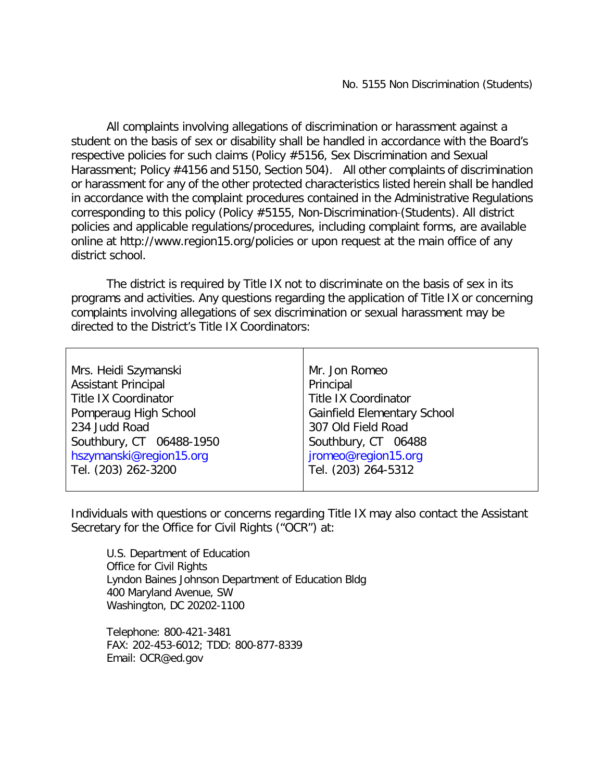All complaints involving allegations of discrimination or harassment against a student on the basis of sex or disability shall be handled in accordance with the Board's respective policies for such claims (Policy #5156, Sex Discrimination and Sexual Harassment; Policy #4156 and 5150, Section 504). All other complaints of discrimination or harassment for any of the other protected characteristics listed herein shall be handled in accordance with the complaint procedures contained in the Administrative Regulations corresponding to this policy (Policy #5155, Non-Discrimination-(Students). All district policies and applicable regulations/procedures, including complaint forms, are available online at<http://www.region15.org/policies> or upon request at the main office of any district school.

The district is required by Title IX not to discriminate on the basis of sex in its programs and activities. Any questions regarding the application of Title IX or concerning complaints involving allegations of sex discrimination or sexual harassment may be directed to the District's Title IX Coordinators:

| Mrs. Heidi Szymanski        | Mr. Jon Romeo                      |
|-----------------------------|------------------------------------|
| <b>Assistant Principal</b>  | Principal                          |
| <b>Title IX Coordinator</b> | <b>Title IX Coordinator</b>        |
| Pomperaug High School       | <b>Gainfield Elementary School</b> |
| 234 Judd Road               | 307 Old Field Road                 |
| Southbury, CT 06488-1950    | Southbury, CT 06488                |
| hszymanski@region15.org     | jromeo@region15.org                |
| Tel. (203) 262-3200         | Tel. (203) 264-5312                |
|                             |                                    |

Individuals with questions or concerns regarding Title IX may also contact the Assistant Secretary for the Office for Civil Rights ("OCR") at:

U.S. Department of Education Office for Civil Rights Lyndon Baines Johnson Department of Education Bldg 400 Maryland Avenue, SW Washington, DC 20202-1100

Telephone: 800-421-3481 FAX: 202-453-6012; TDD: 800-877-8339 Email: [OCR@ed.gov](mailto:OCR@ed.gov)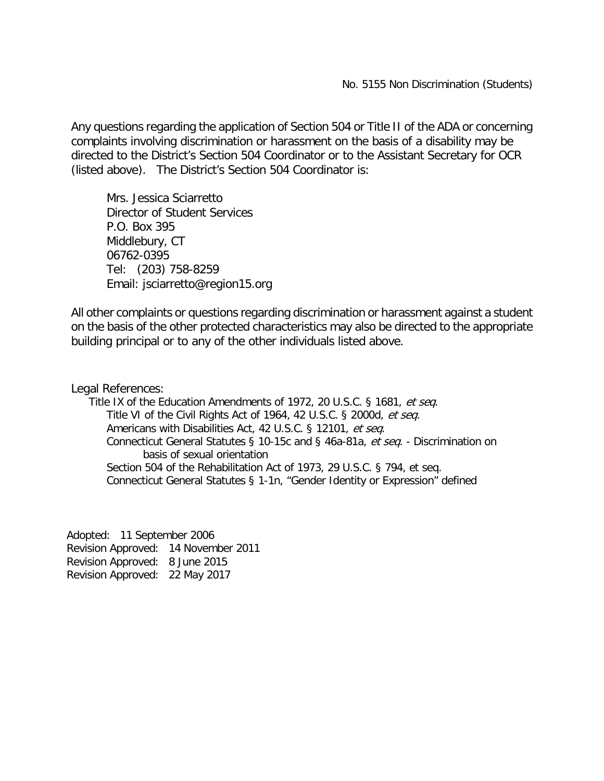Any questions regarding the application of Section 504 or Title II of the ADA or concerning complaints involving discrimination or harassment on the basis of a disability may be directed to the District's Section 504 Coordinator or to the Assistant Secretary for OCR (listed above). The District's Section 504 Coordinator is:

Mrs. Jessica Sciarretto Director of Student Services P.O. Box 395 Middlebury, CT 06762-0395 Tel: (203) 758-8259 Email: [jsciarretto@region15.org](mailto:jsciarretto@region15.org)

All other complaints or questions regarding discrimination or harassment against a student on the basis of the other protected characteristics may also be directed to the appropriate building principal or to any of the other individuals listed above.

Legal References:

Title IX of the Education Amendments of 1972, 20 U.S.C. § 1681, et seg. Title VI of the Civil Rights Act of 1964, 42 U.S.C. § 2000d, et seq. Americans with Disabilities Act, 42 U.S.C. § 12101, et seq. Connecticut General Statutes § 10-15c and § 46a-81a, et seq. - Discrimination on basis of sexual orientation Section 504 of the Rehabilitation Act of 1973, 29 U.S.C. § 794, et seq. Connecticut General Statutes § 1-1n, "Gender Identity or Expression" defined

Adopted: 11 September 2006 Revision Approved: 14 November 2011 Revision Approved: 8 June 2015 Revision Approved: 22 May 2017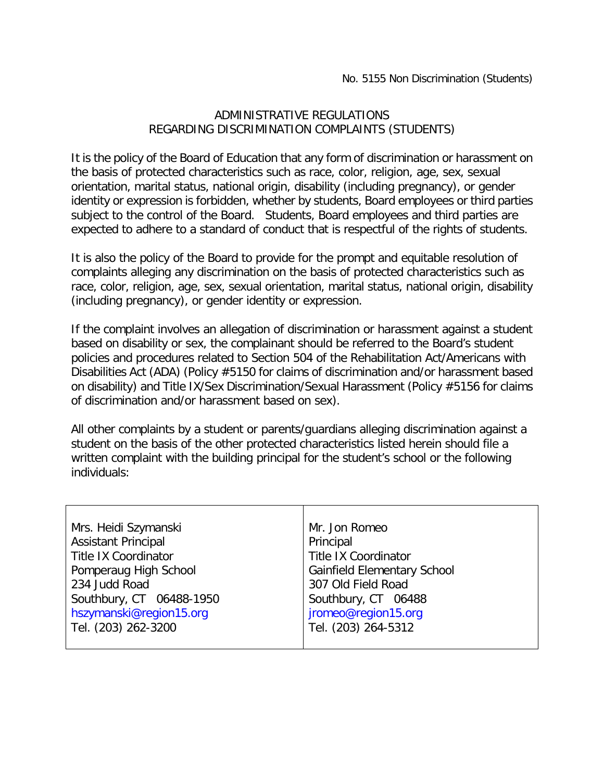## ADMINISTRATIVE REGULATIONS REGARDING DISCRIMINATION COMPLAINTS (STUDENTS)

It is the policy of the Board of Education that any form of discrimination or harassment on the basis of protected characteristics such as race, color, religion, age, sex, sexual orientation, marital status, national origin, disability (including pregnancy), or gender identity or expression is forbidden, whether by students, Board employees or third parties subject to the control of the Board. Students, Board employees and third parties are expected to adhere to a standard of conduct that is respectful of the rights of students.

It is also the policy of the Board to provide for the prompt and equitable resolution of complaints alleging any discrimination on the basis of protected characteristics such as race, color, religion, age, sex, sexual orientation, marital status, national origin, disability (including pregnancy), or gender identity or expression.

If the complaint involves an allegation of discrimination or harassment against a student based on disability or sex, the complainant should be referred to the Board's student policies and procedures related to Section 504 of the Rehabilitation Act/Americans with Disabilities Act (ADA) (Policy #5150 for claims of discrimination and/or harassment based on disability) and Title IX/Sex Discrimination/Sexual Harassment (Policy #5156 for claims of discrimination and/or harassment based on sex).

All other complaints by a student or parents/guardians alleging discrimination against a student on the basis of the other protected characteristics listed herein should file a written complaint with the building principal for the student's school or the following individuals:

| Mrs. Heidi Szymanski        | Mr. Jon Romeo                      |
|-----------------------------|------------------------------------|
| <b>Assistant Principal</b>  | Principal                          |
| <b>Title IX Coordinator</b> | <b>Title IX Coordinator</b>        |
| Pomperaug High School       | <b>Gainfield Elementary School</b> |
| 234 Judd Road               | 307 Old Field Road                 |
| Southbury, CT 06488-1950    | Southbury, CT 06488                |
| hszymanski@region15.org     | jromeo@region15.org                |
| Tel. (203) 262-3200         | Tel. (203) 264-5312                |
|                             |                                    |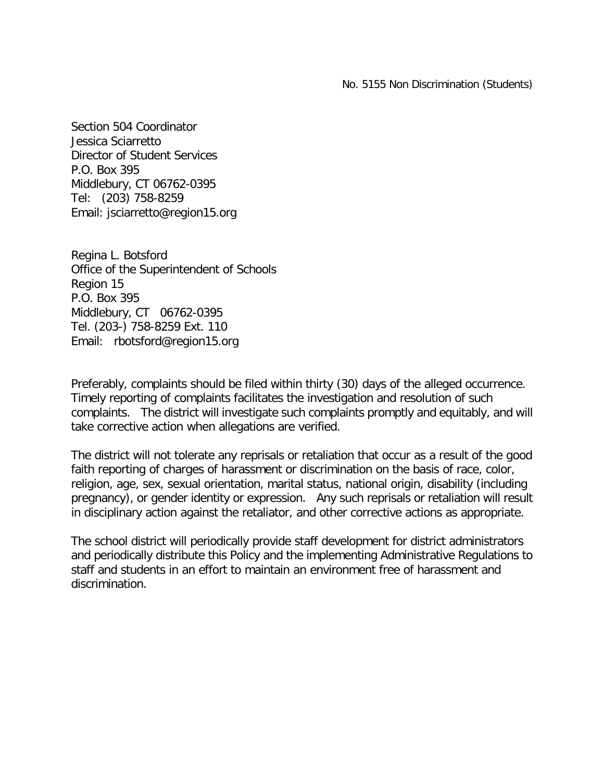No. 5155 Non Discrimination (Students)

Section 504 Coordinator Jessica Sciarretto Director of Student Services P.O. Box 395 Middlebury, CT 06762-0395 Tel: (203) 758-8259 Email: [jsciarretto@region15.org](mailto:jsciarretto@region15.org)

Regina L. Botsford Office of the Superintendent of Schools Region 15 P.O. Box 395 Middlebury, CT 06762-0395 Tel. (203-) 758-8259 Ext. 110 Email: [rbotsford@region15.org](mailto:rbotsford@region15.org)

Preferably, complaints should be filed within thirty (30) days of the alleged occurrence. Timely reporting of complaints facilitates the investigation and resolution of such complaints. The district will investigate such complaints promptly and equitably, and will take corrective action when allegations are verified.

The district will not tolerate any reprisals or retaliation that occur as a result of the good faith reporting of charges of harassment or discrimination on the basis of race, color, religion, age, sex, sexual orientation, marital status, national origin, disability (including pregnancy), or gender identity or expression. Any such reprisals or retaliation will result in disciplinary action against the retaliator, and other corrective actions as appropriate.

The school district will periodically provide staff development for district administrators and periodically distribute this Policy and the implementing Administrative Regulations to staff and students in an effort to maintain an environment free of harassment and discrimination.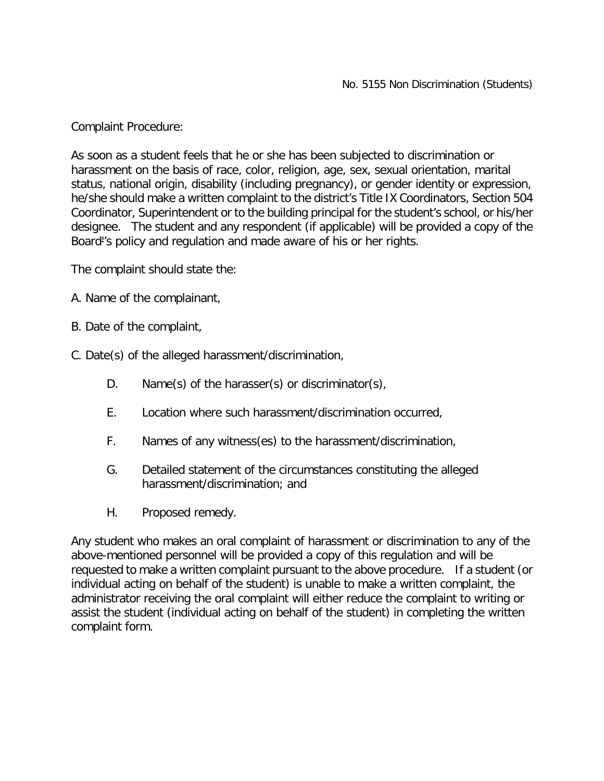Complaint Procedure:

As soon as a student feels that he or she has been subjected to discrimination or harassment on the basis of race, color, religion, age, sex, sexual orientation, marital status, national origin, disability (including pregnancy), or gender identity or expression, he/she should make a written complaint to the district's Title IX Coordinators, Section 504 Coordinator, Superintendent or to the building principal for the student's school, or his/her designee. The student and any respondent (if applicable) will be provided a copy of the Board''s policy and regulation and made aware of his or her rights.

The complaint should state the:

- A. Name of the complainant,
- B. Date of the complaint,
- C. Date(s) of the alleged harassment/discrimination,
	- D. Name(s) of the harasser(s) or discriminator(s),
	- E. Location where such harassment/discrimination occurred,
	- F. Names of any witness(es) to the harassment/discrimination,
	- G. Detailed statement of the circumstances constituting the alleged harassment/discrimination; and
	- H. Proposed remedy.

Any student who makes an oral complaint of harassment or discrimination to any of the above-mentioned personnel will be provided a copy of this regulation and will be requested to make a written complaint pursuant to the above procedure. If a student (or individual acting on behalf of the student) is unable to make a written complaint, the administrator receiving the oral complaint will either reduce the complaint to writing or assist the student (individual acting on behalf of the student) in completing the written complaint form.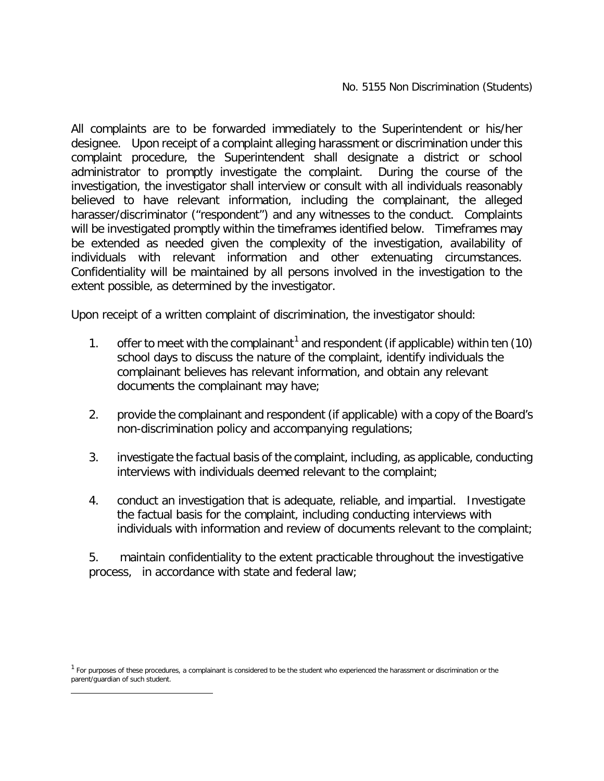All complaints are to be forwarded immediately to the Superintendent or his/her designee. Upon receipt of a complaint alleging harassment or discrimination under this complaint procedure, the Superintendent shall designate a district or school administrator to promptly investigate the complaint. During the course of the investigation, the investigator shall interview or consult with all individuals reasonably believed to have relevant information, including the complainant, the alleged harasser/discriminator ("respondent") and any witnesses to the conduct. Complaints will be investigated promptly within the timeframes identified below. Timeframes may be extended as needed given the complexity of the investigation, availability of individuals with relevant information and other extenuating circumstances. Confidentiality will be maintained by all persons involved in the investigation to the extent possible, as determined by the investigator.

Upon receipt of a written complaint of discrimination, the investigator should:

- [1](#page-6-0). offer to meet with the complainant<sup>1</sup> and respondent (if applicable) within ten (10) school days to discuss the nature of the complaint, identify individuals the complainant believes has relevant information, and obtain any relevant documents the complainant may have;
- 2. provide the complainant and respondent (if applicable) with a copy of the Board's non-discrimination policy and accompanying regulations;
- 3. investigate the factual basis of the complaint, including, as applicable, conducting interviews with individuals deemed relevant to the complaint;
- 4. conduct an investigation that is adequate, reliable, and impartial. Investigate the factual basis for the complaint, including conducting interviews with individuals with information and review of documents relevant to the complaint;

5. maintain confidentiality to the extent practicable throughout the investigative process, in accordance with state and federal law;

<span id="page-6-0"></span> $\overline{a}$ 

<sup>&</sup>lt;sup>1</sup> For purposes of these procedures, a complainant is considered to be the student who experienced the harassment or discrimination or the parent/guardian of such student.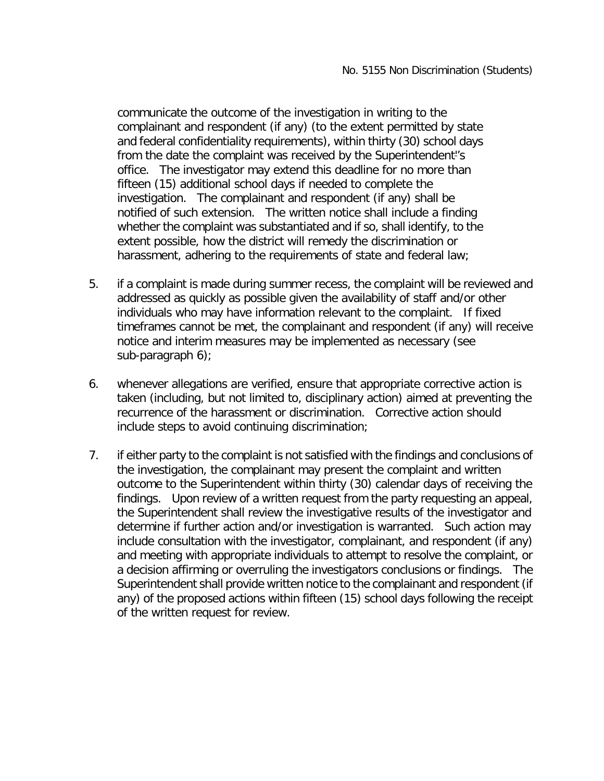communicate the outcome of the investigation in writing to the complainant and respondent (if any) (to the extent permitted by state and federal confidentiality requirements), within thirty (30) school days from the date the complaint was received by the Superintendent''s office. The investigator may extend this deadline for no more than fifteen (15) additional school days if needed to complete the investigation. The complainant and respondent (if any) shall be notified of such extension. The written notice shall include a finding whether the complaint was substantiated and if so, shall identify, to the extent possible, how the district will remedy the discrimination or harassment, adhering to the requirements of state and federal law;

- 5. if a complaint is made during summer recess, the complaint will be reviewed and addressed as quickly as possible given the availability of staff and/or other individuals who may have information relevant to the complaint. If fixed timeframes cannot be met, the complainant and respondent (if any) will receive notice and interim measures may be implemented as necessary (see sub-paragraph 6);
- 6. whenever allegations are verified, ensure that appropriate corrective action is taken (including, but not limited to, disciplinary action) aimed at preventing the recurrence of the harassment or discrimination. Corrective action should include steps to avoid continuing discrimination;
- 7. if either party to the complaint is not satisfied with the findings and conclusions of the investigation, the complainant may present the complaint and written outcome to the Superintendent within thirty (30) calendar days of receiving the findings. Upon review of a written request from the party requesting an appeal, the Superintendent shall review the investigative results of the investigator and determine if further action and/or investigation is warranted. Such action may include consultation with the investigator, complainant, and respondent (if any) and meeting with appropriate individuals to attempt to resolve the complaint, or a decision affirming or overruling the investigators conclusions or findings. The Superintendent shall provide written notice to the complainant and respondent (if any) of the proposed actions within fifteen (15) school days following the receipt of the written request for review.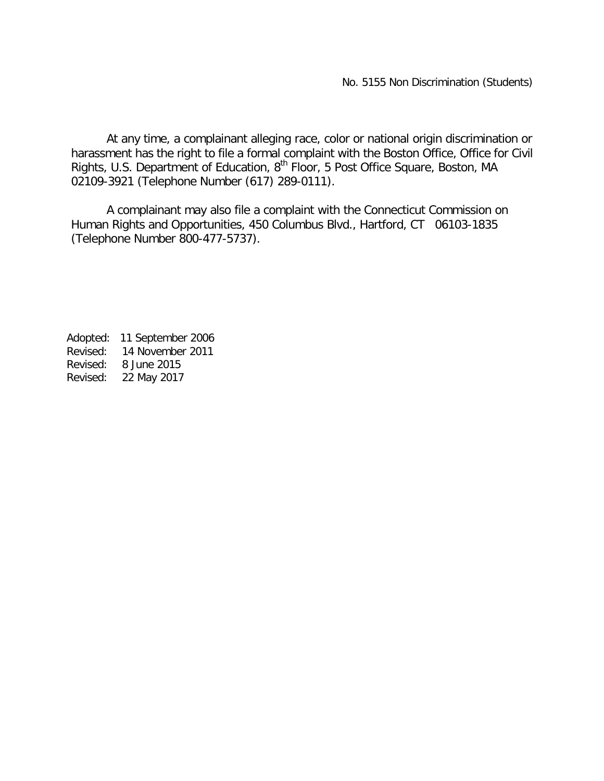At any time, a complainant alleging race, color or national origin discrimination or harassment has the right to file a formal complaint with the Boston Office, Office for Civil Rights, U.S. Department of Education, 8<sup>th</sup> Floor, 5 Post Office Square, Boston, MA 02109-3921 (Telephone Number (617) 289-0111).

A complainant may also file a complaint with the Connecticut Commission on Human Rights and Opportunities, 450 Columbus Blvd., Hartford, CT 06103-1835 (Telephone Number 800-477-5737).

Adopted: 11 September 2006 Revised: 14 November 2011 Revised: 8 June 2015 Revised: 22 May 2017